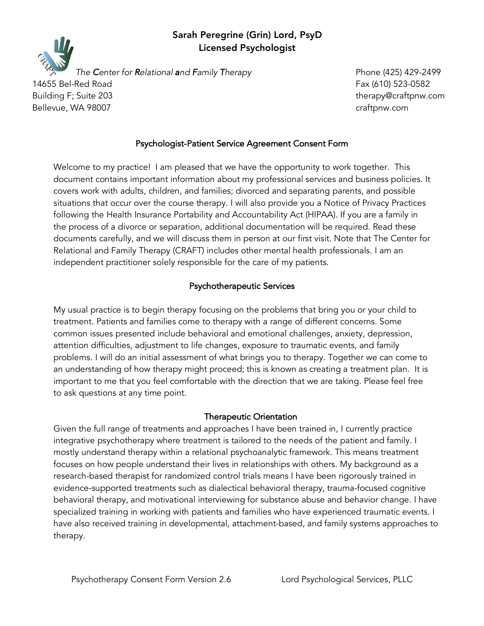## Sarah Peregrine (Grin) Lord, PsyD Licensed Psychologist



*The Center for Relational and Family Therapy* Phone (425) 429-2499

14655 Bel-Red Road Fax (610) 523-0582 Bellevue, WA 98007 craftpnw.com

Building F; Suite 203 therapy@craftpnw.com

## Psychologist-Patient Service Agreement Consent Form

Welcome to my practice! I am pleased that we have the opportunity to work together. This document contains important information about my professional services and business policies. It covers work with adults, children, and families; divorced and separating parents, and possible situations that occur over the course therapy. I will also provide you a Notice of Privacy Practices following the Health Insurance Portability and Accountability Act (HIPAA). If you are a family in the process of a divorce or separation, additional documentation will be required. Read these documents carefully, and we will discuss them in person at our first visit. Note that The Center for Relational and Family Therapy (CRAFT) includes other mental health professionals. I am an independent practitioner solely responsible for the care of my patients.

## Psychotherapeutic Services

My usual practice is to begin therapy focusing on the problems that bring you or your child to treatment. Patients and families come to therapy with a range of different concerns. Some common issues presented include behavioral and emotional challenges, anxiety, depression, attention difficulties, adjustment to life changes, exposure to traumatic events, and family problems. I will do an initial assessment of what brings you to therapy. Together we can come to an understanding of how therapy might proceed; this is known as creating a treatment plan. It is important to me that you feel comfortable with the direction that we are taking. Please feel free to ask questions at any time point.

#### Therapeutic Orientation

Given the full range of treatments and approaches I have been trained in, I currently practice integrative psychotherapy where treatment is tailored to the needs of the patient and family. I mostly understand therapy within a relational psychoanalytic framework. This means treatment focuses on how people understand their lives in relationships with others. My background as a research-based therapist for randomized control trials means I have been rigorously trained in evidence-supported treatments such as dialectical behavioral therapy, trauma-focused cognitive behavioral therapy, and motivational interviewing for substance abuse and behavior change. I have specialized training in working with patients and families who have experienced traumatic events. I have also received training in developmental, attachment-based, and family systems approaches to therapy.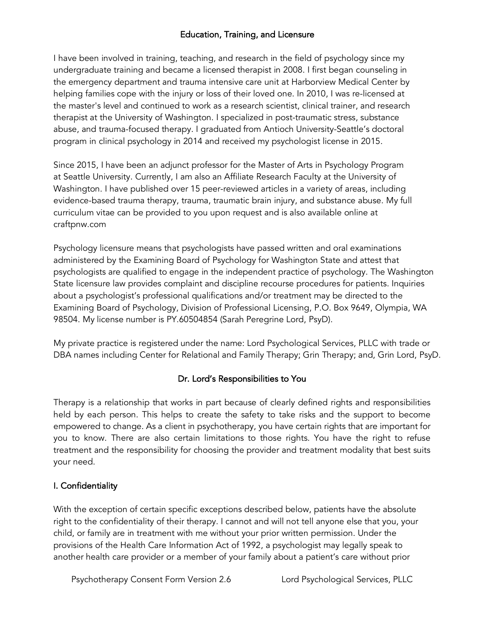## Education, Training, and Licensure

I have been involved in training, teaching, and research in the field of psychology since my undergraduate training and became a licensed therapist in 2008. I first began counseling in the emergency department and trauma intensive care unit at Harborview Medical Center by helping families cope with the injury or loss of their loved one. In 2010, I was re-licensed at the master's level and continued to work as a research scientist, clinical trainer, and research therapist at the University of Washington. I specialized in post-traumatic stress, substance abuse, and trauma-focused therapy. I graduated from Antioch University-Seattle's doctoral program in clinical psychology in 2014 and received my psychologist license in 2015.

Since 2015, I have been an adjunct professor for the Master of Arts in Psychology Program at Seattle University. Currently, I am also an Affiliate Research Faculty at the University of Washington. I have published over 15 peer-reviewed articles in a variety of areas, including evidence-based trauma therapy, trauma, traumatic brain injury, and substance abuse. My full curriculum vitae can be provided to you upon request and is also available online at craftpnw.com

Psychology licensure means that psychologists have passed written and oral examinations administered by the Examining Board of Psychology for Washington State and attest that psychologists are qualified to engage in the independent practice of psychology. The Washington State licensure law provides complaint and discipline recourse procedures for patients. Inquiries about a psychologist's professional qualifications and/or treatment may be directed to the Examining Board of Psychology, Division of Professional Licensing, P.O. Box 9649, Olympia, WA 98504. My license number is PY.60504854 (Sarah Peregrine Lord, PsyD).

My private practice is registered under the name: Lord Psychological Services, PLLC with trade or DBA names including Center for Relational and Family Therapy; Grin Therapy; and, Grin Lord, PsyD.

# Dr. Lord's Responsibilities to You

Therapy is a relationship that works in part because of clearly defined rights and responsibilities held by each person. This helps to create the safety to take risks and the support to become empowered to change. As a client in psychotherapy, you have certain rights that are important for you to know. There are also certain limitations to those rights. You have the right to refuse treatment and the responsibility for choosing the provider and treatment modality that best suits your need.

## I. Confidentiality

With the exception of certain specific exceptions described below, patients have the absolute right to the confidentiality of their therapy. I cannot and will not tell anyone else that you, your child, or family are in treatment with me without your prior written permission. Under the provisions of the Health Care Information Act of 1992, a psychologist may legally speak to another health care provider or a member of your family about a patient's care without prior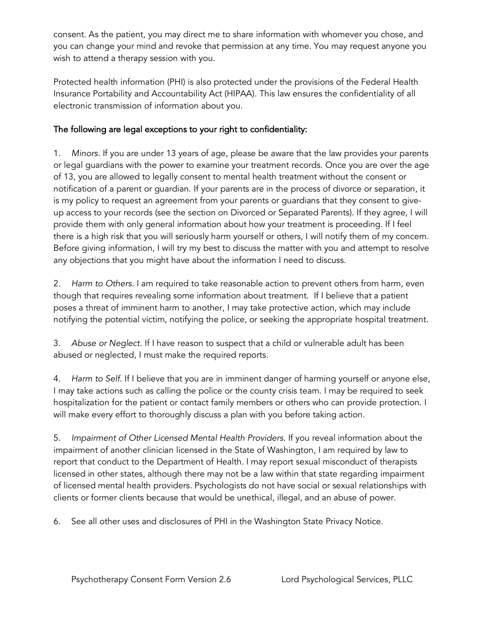consent. As the patient, you may direct me to share information with whomever you chose, and you can change your mind and revoke that permission at any time. You may request anyone you wish to attend a therapy session with you.

Protected health information (PHI) is also protected under the provisions of the Federal Health Insurance Portability and Accountability Act (HIPAA). This law ensures the confidentiality of all electronic transmission of information about you.

## The following are legal exceptions to your right to confidentiality:

1. *Minors.* If you are under 13 years of age, please be aware that the law provides your parents or legal guardians with the power to examine your treatment records. Once you are over the age of 13, you are allowed to legally consent to mental health treatment without the consent or notification of a parent or guardian. If your parents are in the process of divorce or separation, it is my policy to request an agreement from your parents or guardians that they consent to giveup access to your records (see the section on Divorced or Separated Parents). If they agree, I will provide them with only general information about how your treatment is proceeding. If I feel there is a high risk that you will seriously harm yourself or others, I will notify them of my concern. Before giving information, I will try my best to discuss the matter with you and attempt to resolve any objections that you might have about the information I need to discuss.

2. *Harm to Others.* I am required to take reasonable action to prevent others from harm, even though that requires revealing some information about treatment. If I believe that a patient poses a threat of imminent harm to another, I may take protective action, which may include notifying the potential victim, notifying the police, or seeking the appropriate hospital treatment.

3. *Abuse or Neglect.* If I have reason to suspect that a child or vulnerable adult has been abused or neglected, I must make the required reports.

4. *Harm to Self.* If I believe that you are in imminent danger of harming yourself or anyone else, I may take actions such as calling the police or the county crisis team. I may be required to seek hospitalization for the patient or contact family members or others who can provide protection. I will make every effort to thoroughly discuss a plan with you before taking action.

5. *Impairment of Other Licensed Mental Health Providers.* If you reveal information about the impairment of another clinician licensed in the State of Washington, I am required by law to report that conduct to the Department of Health. I may report sexual misconduct of therapists licensed in other states, although there may not be a law within that state regarding impairment of licensed mental health providers. Psychologists do not have social or sexual relationships with clients or former clients because that would be unethical, illegal, and an abuse of power.

6. See all other uses and disclosures of PHI in the Washington State Privacy Notice.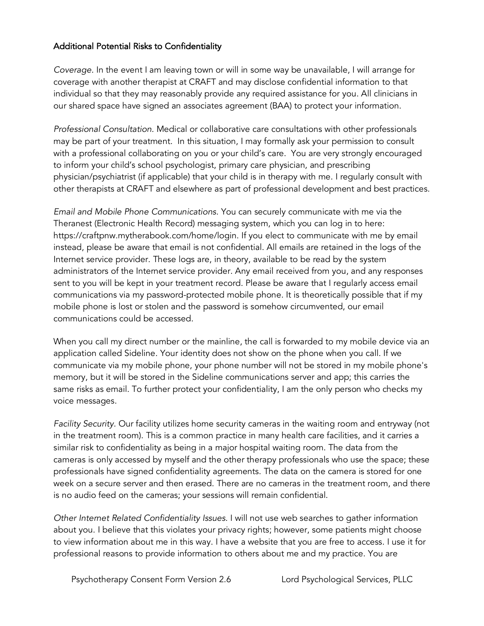## Additional Potential Risks to Confidentiality

*Coverage.* In the event I am leaving town or will in some way be unavailable, I will arrange for coverage with another therapist at CRAFT and may disclose confidential information to that individual so that they may reasonably provide any required assistance for you. All clinicians in our shared space have signed an associates agreement (BAA) to protect your information.

*Professional Consultation.* Medical or collaborative care consultations with other professionals may be part of your treatment. In this situation, I may formally ask your permission to consult with a professional collaborating on you or your child's care. You are very strongly encouraged to inform your child's school psychologist, primary care physician, and prescribing physician/psychiatrist (if applicable) that your child is in therapy with me. I regularly consult with other therapists at CRAFT and elsewhere as part of professional development and best practices.

*Email and Mobile Phone Communications.* You can securely communicate with me via the Theranest (Electronic Health Record) messaging system, which you can log in to here: https://craftpnw.mytherabook.com/home/login. If you elect to communicate with me by email instead, please be aware that email is not confidential. All emails are retained in the logs of the Internet service provider. These logs are, in theory, available to be read by the system administrators of the Internet service provider. Any email received from you, and any responses sent to you will be kept in your treatment record. Please be aware that I regularly access email communications via my password-protected mobile phone. It is theoretically possible that if my mobile phone is lost or stolen and the password is somehow circumvented, our email communications could be accessed.

When you call my direct number or the mainline, the call is forwarded to my mobile device via an application called Sideline. Your identity does not show on the phone when you call. If we communicate via my mobile phone, your phone number will not be stored in my mobile phone's memory, but it will be stored in the Sideline communications server and app; this carries the same risks as email. To further protect your confidentiality, I am the only person who checks my voice messages.

*Facility Security.* Our facility utilizes home security cameras in the waiting room and entryway (not in the treatment room). This is a common practice in many health care facilities, and it carries a similar risk to confidentiality as being in a major hospital waiting room. The data from the cameras is only accessed by myself and the other therapy professionals who use the space; these professionals have signed confidentiality agreements. The data on the camera is stored for one week on a secure server and then erased. There are no cameras in the treatment room, and there is no audio feed on the cameras; your sessions will remain confidential.

*Other Internet Related Confidentiality Issues.* I will not use web searches to gather information about you. I believe that this violates your privacy rights; however, some patients might choose to view information about me in this way. I have a website that you are free to access. I use it for professional reasons to provide information to others about me and my practice. You are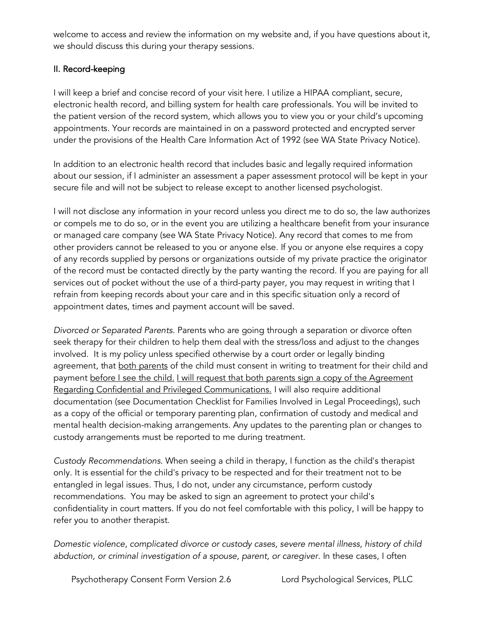welcome to access and review the information on my website and, if you have questions about it, we should discuss this during your therapy sessions.

### II. Record-keeping

I will keep a brief and concise record of your visit here. I utilize a HIPAA compliant, secure, electronic health record, and billing system for health care professionals. You will be invited to the patient version of the record system, which allows you to view you or your child's upcoming appointments. Your records are maintained in on a password protected and encrypted server under the provisions of the Health Care Information Act of 1992 (see WA State Privacy Notice).

In addition to an electronic health record that includes basic and legally required information about our session, if I administer an assessment a paper assessment protocol will be kept in your secure file and will not be subject to release except to another licensed psychologist.

I will not disclose any information in your record unless you direct me to do so, the law authorizes or compels me to do so, or in the event you are utilizing a healthcare benefit from your insurance or managed care company (see WA State Privacy Notice). Any record that comes to me from other providers cannot be released to you or anyone else. If you or anyone else requires a copy of any records supplied by persons or organizations outside of my private practice the originator of the record must be contacted directly by the party wanting the record. If you are paying for all services out of pocket without the use of a third-party payer, you may request in writing that I refrain from keeping records about your care and in this specific situation only a record of appointment dates, times and payment account will be saved.

*Divorced or Separated Parents.* Parents who are going through a separation or divorce often seek therapy for their children to help them deal with the stress/loss and adjust to the changes involved. It is my policy unless specified otherwise by a court order or legally binding agreement, that both parents of the child must consent in writing to treatment for their child and payment before I see the child. I will request that both parents sign a copy of the Agreement Regarding Confidential and Privileged Communications. I will also require additional documentation (see Documentation Checklist for Families Involved in Legal Proceedings), such as a copy of the official or temporary parenting plan, confirmation of custody and medical and mental health decision-making arrangements. Any updates to the parenting plan or changes to custody arrangements must be reported to me during treatment.

*Custody Recommendations.* When seeing a child in therapy, I function as the child's therapist only. It is essential for the child's privacy to be respected and for their treatment not to be entangled in legal issues. Thus, I do not, under any circumstance, perform custody recommendations. You may be asked to sign an agreement to protect your child's confidentiality in court matters. If you do not feel comfortable with this policy, I will be happy to refer you to another therapist.

*Domestic violence, complicated divorce or custody cases, severe mental illness, history of child*  abduction, or criminal investigation of a spouse, parent, or caregiver. In these cases, I often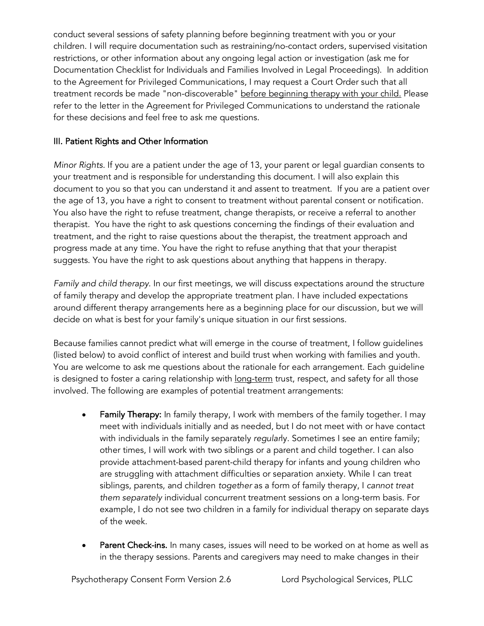conduct several sessions of safety planning before beginning treatment with you or your children. I will require documentation such as restraining/no-contact orders, supervised visitation restrictions, or other information about any ongoing legal action or investigation (ask me for Documentation Checklist for Individuals and Families Involved in Legal Proceedings). In addition to the Agreement for Privileged Communications, I may request a Court Order such that all treatment records be made "non-discoverable" before beginning therapy with your child. Please refer to the letter in the Agreement for Privileged Communications to understand the rationale for these decisions and feel free to ask me questions.

### III. Patient Rights and Other Information

*Minor Rights.* If you are a patient under the age of 13, your parent or legal guardian consents to your treatment and is responsible for understanding this document. I will also explain this document to you so that you can understand it and assent to treatment. If you are a patient over the age of 13, you have a right to consent to treatment without parental consent or notification. You also have the right to refuse treatment, change therapists, or receive a referral to another therapist. You have the right to ask questions concerning the findings of their evaluation and treatment, and the right to raise questions about the therapist, the treatment approach and progress made at any time. You have the right to refuse anything that that your therapist suggests. You have the right to ask questions about anything that happens in therapy.

*Family and child therapy.* In our first meetings, we will discuss expectations around the structure of family therapy and develop the appropriate treatment plan. I have included expectations around different therapy arrangements here as a beginning place for our discussion, but we will decide on what is best for your family's unique situation in our first sessions.

Because families cannot predict what will emerge in the course of treatment, I follow guidelines (listed below) to avoid conflict of interest and build trust when working with families and youth. You are welcome to ask me questions about the rationale for each arrangement. Each guideline is designed to foster a caring relationship with <u>long-term</u> trust, respect, and safety for all those involved. The following are examples of potential treatment arrangements:

- Family Therapy: In family therapy, I work with members of the family together. I may meet with individuals initially and as needed, but I do not meet with or have contact with individuals in the family separately *regular*ly. Sometimes I see an entire family; other times, I will work with two siblings or a parent and child together. I can also provide attachment-based parent-child therapy for infants and young children who are struggling with attachment difficulties or separation anxiety. While I can treat siblings, parents, and children *together* as a form of family therapy, I *cannot treat them separately* individual concurrent treatment sessions on a long-term basis. For example, I do not see two children in a family for individual therapy on separate days of the week.
- Parent Check-ins*.* In many cases, issues will need to be worked on at home as well as in the therapy sessions. Parents and caregivers may need to make changes in their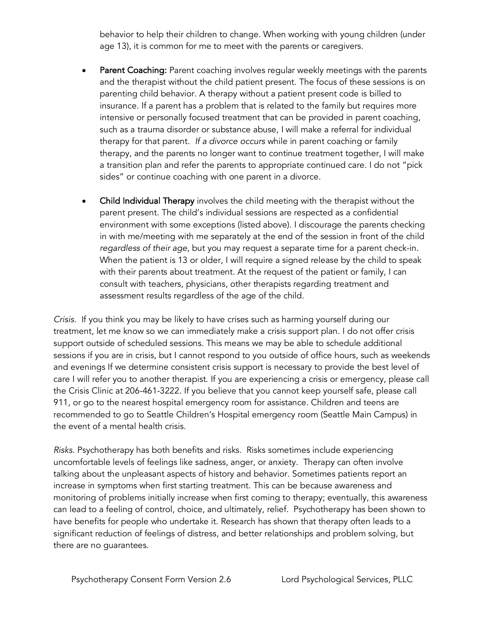behavior to help their children to change. When working with young children (under age 13), it is common for me to meet with the parents or caregivers.

- Parent Coaching: Parent coaching involves regular weekly meetings with the parents and the therapist without the child patient present. The focus of these sessions is on parenting child behavior. A therapy without a patient present code is billed to insurance. If a parent has a problem that is related to the family but requires more intensive or personally focused treatment that can be provided in parent coaching, such as a trauma disorder or substance abuse, I will make a referral for individual therapy for that parent. *If a divorce occurs* while in parent coaching or family therapy, and the parents no longer want to continue treatment together, I will make a transition plan and refer the parents to appropriate continued care. I do not "pick sides" or continue coaching with one parent in a divorce.
- Child Individual Therapy involves the child meeting with the therapist without the parent present. The child's individual sessions are respected as a confidential environment with some exceptions (listed above). I discourage the parents checking in with me/meeting with me separately at the end of the session in front of the child *regardless of their age*, but you may request a separate time for a parent check-in. When the patient is 13 or older, I will require a signed release by the child to speak with their parents about treatment. At the request of the patient or family, I can consult with teachers, physicians, other therapists regarding treatment and assessment results regardless of the age of the child.

*Crisis.* If you think you may be likely to have crises such as harming yourself during our treatment, let me know so we can immediately make a crisis support plan. I do not offer crisis support outside of scheduled sessions. This means we may be able to schedule additional sessions if you are in crisis, but I cannot respond to you outside of office hours, such as weekends and evenings If we determine consistent crisis support is necessary to provide the best level of care I will refer you to another therapist. If you are experiencing a crisis or emergency, please call the Crisis Clinic at 206-461-3222. If you believe that you cannot keep yourself safe, please call 911, or go to the nearest hospital emergency room for assistance. Children and teens are recommended to go to Seattle Children's Hospital emergency room (Seattle Main Campus) in the event of a mental health crisis.

*Risks.* Psychotherapy has both benefits and risks. Risks sometimes include experiencing uncomfortable levels of feelings like sadness, anger, or anxiety. Therapy can often involve talking about the unpleasant aspects of history and behavior. Sometimes patients report an increase in symptoms when first starting treatment. This can be because awareness and monitoring of problems initially increase when first coming to therapy; eventually, this awareness can lead to a feeling of control, choice, and ultimately, relief. Psychotherapy has been shown to have benefits for people who undertake it. Research has shown that therapy often leads to a significant reduction of feelings of distress, and better relationships and problem solving, but there are no guarantees.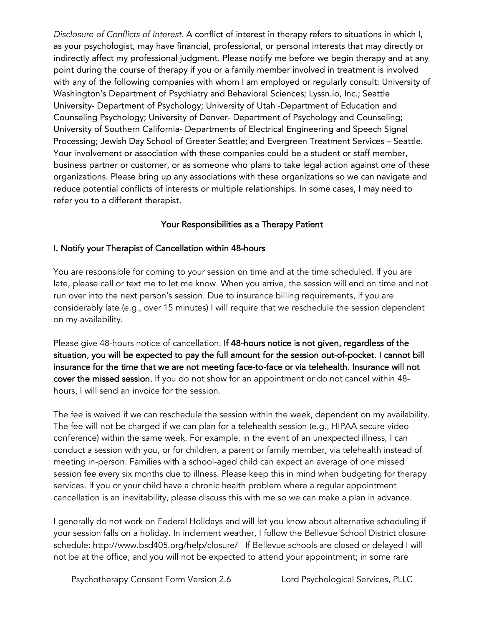*Disclosure of Conflicts of Interest.* A conflict of interest in therapy refers to situations in which I, as your psychologist, may have financial, professional, or personal interests that may directly or indirectly affect my professional judgment. Please notify me before we begin therapy and at any point during the course of therapy if you or a family member involved in treatment is involved with any of the following companies with whom I am employed or regularly consult: University of Washington's Department of Psychiatry and Behavioral Sciences; Lyssn.io, Inc.; Seattle University- Department of Psychology; University of Utah -Department of Education and Counseling Psychology; University of Denver- Department of Psychology and Counseling; University of Southern California- Departments of Electrical Engineering and Speech Signal Processing; Jewish Day School of Greater Seattle; and Evergreen Treatment Services – Seattle. Your involvement or association with these companies could be a student or staff member, business partner or customer, or as someone who plans to take legal action against one of these organizations. Please bring up any associations with these organizations so we can navigate and reduce potential conflicts of interests or multiple relationships. In some cases, I may need to refer you to a different therapist.

## Your Responsibilities as a Therapy Patient

#### I. Notify your Therapist of Cancellation within 48-hours

You are responsible for coming to your session on time and at the time scheduled. If you are late, please call or text me to let me know. When you arrive, the session will end on time and not run over into the next person's session. Due to insurance billing requirements, if you are considerably late (e.g., over 15 minutes) I will require that we reschedule the session dependent on my availability.

Please give 48-hours notice of cancellation. If 48-hours notice is not given, regardless of the situation, you will be expected to pay the full amount for the session out-of-pocket. I cannot bill insurance for the time that we are not meeting face-to-face or via telehealth. Insurance will not cover the missed session. If you do not show for an appointment or do not cancel within 48 hours, I will send an invoice for the session.

The fee is waived if we can reschedule the session within the week, dependent on my availability. The fee will not be charged if we can plan for a telehealth session (e.g., HIPAA secure video conference) within the same week. For example, in the event of an unexpected illness, I can conduct a session with you, or for children, a parent or family member, via telehealth instead of meeting in-person. Families with a school-aged child can expect an average of one missed session fee every six months due to illness. Please keep this in mind when budgeting for therapy services. If you or your child have a chronic health problem where a regular appointment cancellation is an inevitability, please discuss this with me so we can make a plan in advance.

I generally do not work on Federal Holidays and will let you know about alternative scheduling if your session falls on a holiday. In inclement weather, I follow the Bellevue School District closure schedule: http://www.bsd405.org/help/closure/ If Bellevue schools are closed or delayed I will not be at the office, and you will not be expected to attend your appointment; in some rare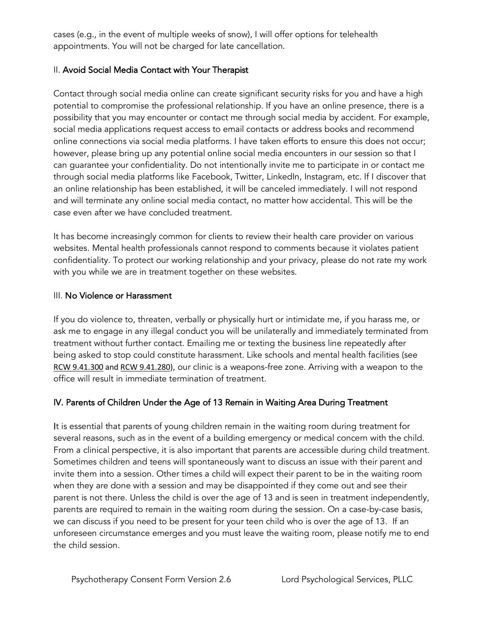cases (e.g., in the event of multiple weeks of snow), I will offer options for telehealth appointments. You will not be charged for late cancellation.

### II. Avoid Social Media Contact with Your Therapist

Contact through social media online can create significant security risks for you and have a high potential to compromise the professional relationship. If you have an online presence, there is a possibility that you may encounter or contact me through social media by accident. For example, social media applications request access to email contacts or address books and recommend online connections via social media platforms. I have taken efforts to ensure this does not occur; however, please bring up any potential online social media encounters in our session so that I can guarantee your confidentiality. Do not intentionally invite me to participate in or contact me through social media platforms like Facebook, Twitter, LinkedIn, Instagram, etc. If I discover that an online relationship has been established, it will be canceled immediately. I will not respond and will terminate any online social media contact, no matter how accidental. This will be the case even after we have concluded treatment.

It has become increasingly common for clients to review their health care provider on various websites. Mental health professionals cannot respond to comments because it violates patient confidentiality. To protect our working relationship and your privacy, please do not rate my work with you while we are in treatment together on these websites.

#### III. No Violence or Harassment

If you do violence to, threaten, verbally or physically hurt or intimidate me, if you harass me, or ask me to engage in any illegal conduct you will be unilaterally and immediately terminated from treatment without further contact. Emailing me or texting the business line repeatedly after being asked to stop could constitute harassment. Like schools and mental health facilities (see RCW 9.41.300 and RCW 9.41.280), our clinic is a weapons-free zone. Arriving with a weapon to the office will result in immediate termination of treatment.

## IV. Parents of Children Under the Age of 13 Remain in Waiting Area During Treatment

It is essential that parents of young children remain in the waiting room during treatment for several reasons, such as in the event of a building emergency or medical concern with the child. From a clinical perspective, it is also important that parents are accessible during child treatment. Sometimes children and teens will spontaneously want to discuss an issue with their parent and invite them into a session. Other times a child will expect their parent to be in the waiting room when they are done with a session and may be disappointed if they come out and see their parent is not there. Unless the child is over the age of 13 and is seen in treatment independently, parents are required to remain in the waiting room during the session. On a case-by-case basis, we can discuss if you need to be present for your teen child who is over the age of 13. If an unforeseen circumstance emerges and you must leave the waiting room, please notify me to end the child session.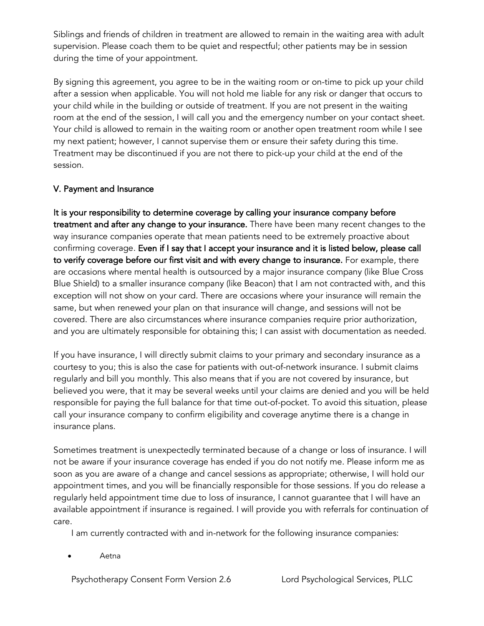Siblings and friends of children in treatment are allowed to remain in the waiting area with adult supervision. Please coach them to be quiet and respectful; other patients may be in session during the time of your appointment.

By signing this agreement, you agree to be in the waiting room or on-time to pick up your child after a session when applicable. You will not hold me liable for any risk or danger that occurs to your child while in the building or outside of treatment. If you are not present in the waiting room at the end of the session, I will call you and the emergency number on your contact sheet. Your child is allowed to remain in the waiting room or another open treatment room while I see my next patient; however, I cannot supervise them or ensure their safety during this time. Treatment may be discontinued if you are not there to pick-up your child at the end of the session.

## V. Payment and Insurance

It is your responsibility to determine coverage by calling your insurance company before treatment and after any change to your insurance. There have been many recent changes to the way insurance companies operate that mean patients need to be extremely proactive about confirming coverage. Even if I say that I accept your insurance and it is listed below, please call to verify coverage before our first visit and with every change to insurance. For example, there are occasions where mental health is outsourced by a major insurance company (like Blue Cross Blue Shield) to a smaller insurance company (like Beacon) that I am not contracted with, and this exception will not show on your card. There are occasions where your insurance will remain the same, but when renewed your plan on that insurance will change, and sessions will not be covered. There are also circumstances where insurance companies require prior authorization, and you are ultimately responsible for obtaining this; I can assist with documentation as needed.

If you have insurance, I will directly submit claims to your primary and secondary insurance as a courtesy to you; this is also the case for patients with out-of-network insurance. I submit claims regularly and bill you monthly. This also means that if you are not covered by insurance, but believed you were, that it may be several weeks until your claims are denied and you will be held responsible for paying the full balance for that time out-of-pocket. To avoid this situation, please call your insurance company to confirm eligibility and coverage anytime there is a change in insurance plans.

Sometimes treatment is unexpectedly terminated because of a change or loss of insurance. I will not be aware if your insurance coverage has ended if you do not notify me. Please inform me as soon as you are aware of a change and cancel sessions as appropriate; otherwise, I will hold our appointment times, and you will be financially responsible for those sessions. If you do release a regularly held appointment time due to loss of insurance, I cannot guarantee that I will have an available appointment if insurance is regained. I will provide you with referrals for continuation of care.

I am currently contracted with and in-network for the following insurance companies:

• Aetna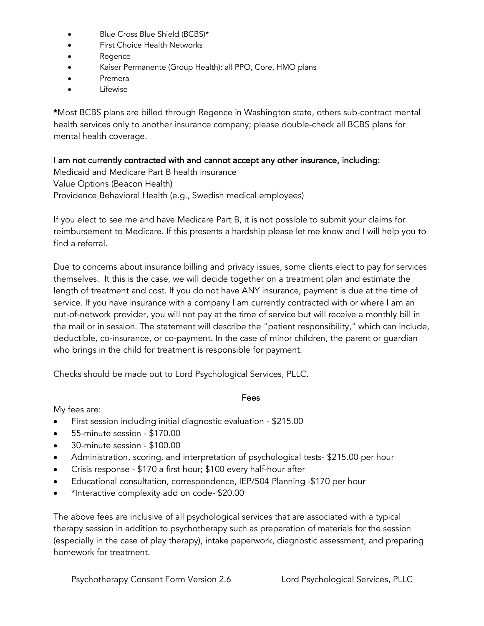- Blue Cross Blue Shield (BCBS)\*
- First Choice Health Networks
- Regence
- Kaiser Permanente (Group Health): all PPO, Core, HMO plans
- Premera
- **Lifewise**

\*Most BCBS plans are billed through Regence in Washington state, others sub-contract mental health services only to another insurance company; please double-check all BCBS plans for mental health coverage.

I am not currently contracted with and cannot accept any other insurance, including:

Medicaid and Medicare Part B health insurance Value Options (Beacon Health) Providence Behavioral Health (e.g., Swedish medical employees)

If you elect to see me and have Medicare Part B, it is not possible to submit your claims for reimbursement to Medicare. If this presents a hardship please let me know and I will help you to find a referral.

Due to concerns about insurance billing and privacy issues, some clients elect to pay for services themselves. It this is the case, we will decide together on a treatment plan and estimate the length of treatment and cost. If you do not have ANY insurance, payment is due at the time of service. If you have insurance with a company I am currently contracted with or where I am an out-of-network provider, you will not pay at the time of service but will receive a monthly bill in the mail or in session. The statement will describe the "patient responsibility," which can include, deductible, co-insurance, or co-payment. In the case of minor children, the parent or guardian who brings in the child for treatment is responsible for payment.

Checks should be made out to Lord Psychological Services, PLLC.

#### Fees

My fees are:

- First session including initial diagnostic evaluation \$215.00
- 55-minute session \$170.00
- 30-minute session \$100.00
- Administration, scoring, and interpretation of psychological tests- \$215.00 per hour
- Crisis response \$170 a first hour; \$100 every half-hour after
- Educational consultation, correspondence, IEP/504 Planning -\$170 per hour
- \*Interactive complexity add on code- \$20.00

The above fees are inclusive of all psychological services that are associated with a typical therapy session in addition to psychotherapy such as preparation of materials for the session (especially in the case of play therapy), intake paperwork, diagnostic assessment, and preparing homework for treatment.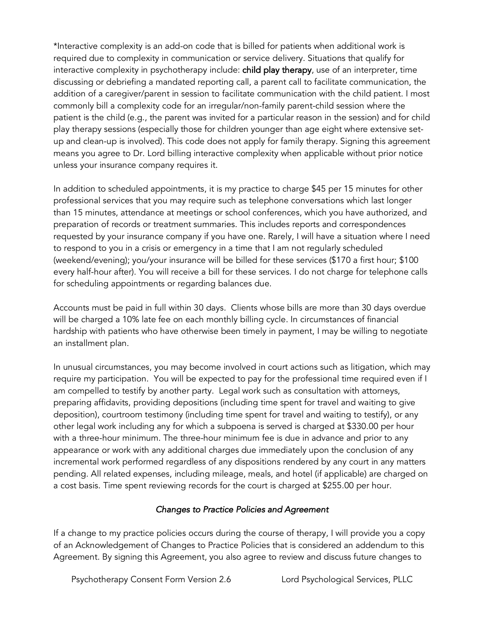\*Interactive complexity is an add-on code that is billed for patients when additional work is required due to complexity in communication or service delivery. Situations that qualify for interactive complexity in psychotherapy include: child play therapy, use of an interpreter, time discussing or debriefing a mandated reporting call, a parent call to facilitate communication, the addition of a caregiver/parent in session to facilitate communication with the child patient. I most commonly bill a complexity code for an irregular/non-family parent-child session where the patient is the child (e.g., the parent was invited for a particular reason in the session) and for child play therapy sessions (especially those for children younger than age eight where extensive setup and clean-up is involved). This code does not apply for family therapy. Signing this agreement means you agree to Dr. Lord billing interactive complexity when applicable without prior notice unless your insurance company requires it.

In addition to scheduled appointments, it is my practice to charge \$45 per 15 minutes for other professional services that you may require such as telephone conversations which last longer than 15 minutes, attendance at meetings or school conferences, which you have authorized, and preparation of records or treatment summaries. This includes reports and correspondences requested by your insurance company if you have one. Rarely, I will have a situation where I need to respond to you in a crisis or emergency in a time that I am not regularly scheduled (weekend/evening); you/your insurance will be billed for these services (\$170 a first hour; \$100 every half-hour after). You will receive a bill for these services. I do not charge for telephone calls for scheduling appointments or regarding balances due.

Accounts must be paid in full within 30 days. Clients whose bills are more than 30 days overdue will be charged a 10% late fee on each monthly billing cycle. In circumstances of financial hardship with patients who have otherwise been timely in payment, I may be willing to negotiate an installment plan.

In unusual circumstances, you may become involved in court actions such as litigation, which may require my participation. You will be expected to pay for the professional time required even if I am compelled to testify by another party. Legal work such as consultation with attorneys, preparing affidavits, providing depositions (including time spent for travel and waiting to give deposition), courtroom testimony (including time spent for travel and waiting to testify), or any other legal work including any for which a subpoena is served is charged at \$330.00 per hour with a three-hour minimum. The three-hour minimum fee is due in advance and prior to any appearance or work with any additional charges due immediately upon the conclusion of any incremental work performed regardless of any dispositions rendered by any court in any matters pending. All related expenses, including mileage, meals, and hotel (if applicable) are charged on a cost basis. Time spent reviewing records for the court is charged at \$255.00 per hour.

#### *Changes to Practice Policies and Agreement*

If a change to my practice policies occurs during the course of therapy, I will provide you a copy of an Acknowledgement of Changes to Practice Policies that is considered an addendum to this Agreement. By signing this Agreement, you also agree to review and discuss future changes to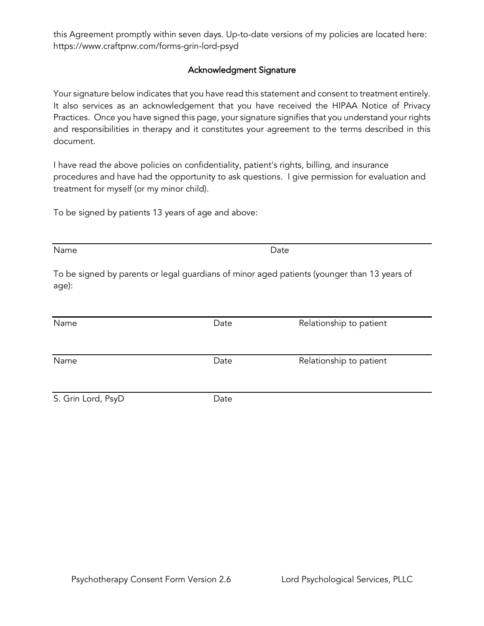this Agreement promptly within seven days. Up-to-date versions of my policies are located here: https://www.craftpnw.com/forms-grin-lord-psyd

### Acknowledgment Signature

Your signature below indicates that you have read this statement and consent to treatment entirely. It also services as an acknowledgement that you have received the HIPAA Notice of Privacy Practices. Once you have signed this page, your signature signifies that you understand your rights and responsibilities in therapy and it constitutes your agreement to the terms described in this document.

I have read the above policies on confidentiality, patient's rights, billing, and insurance procedures and have had the opportunity to ask questions. I give permission for evaluation and treatment for myself (or my minor child).

To be signed by patients 13 years of age and above:

Name **Date** Date **Date** 

To be signed by parents or legal guardians of minor aged patients (younger than 13 years of age):

| Name               | Date | Relationship to patient |
|--------------------|------|-------------------------|
| Name               | Date | Relationship to patient |
| S. Grin Lord, PsyD | Date |                         |